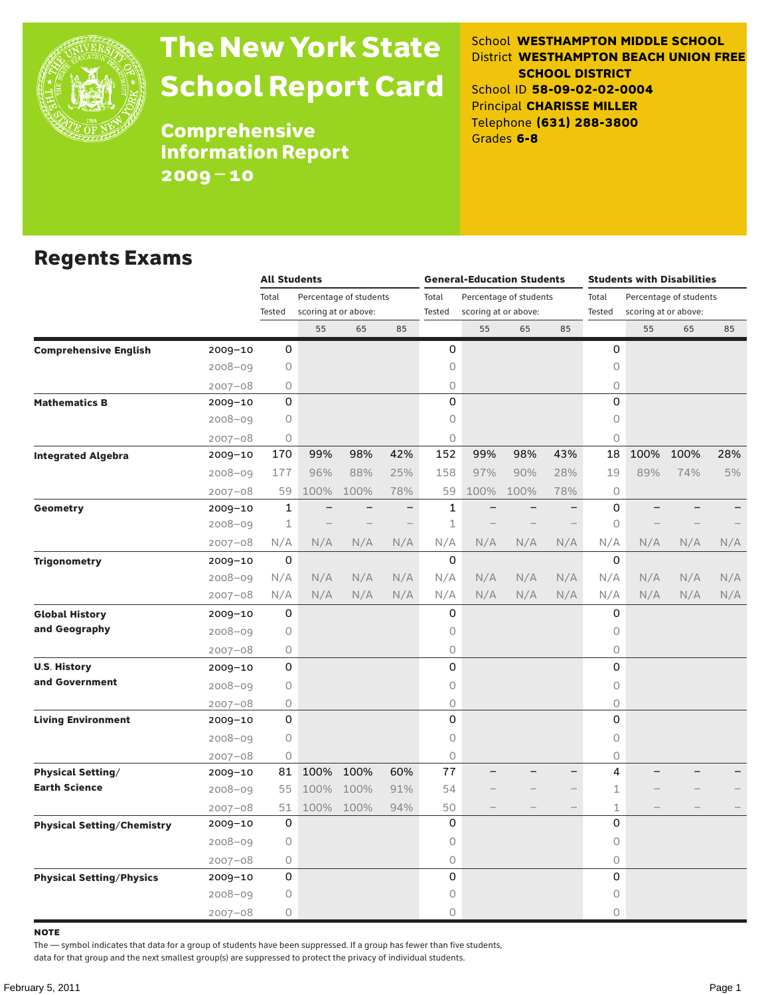

# The New York State School Report Card

School **WESTHAMPTON MIDDLE SCHOOL** District **WESTHAMPTON BEACH UNION FREE SCHOOL DISTRICT** School ID **58-09-02-02-0004** Principal **CHARISSE MILLER** Telephone **(631) 288-3800** Grades **6-8**

Comprehensive Information Report 2009–10

#### Regents Exams

|                                   |             |             | <b>All Students</b>  |                        |                          |             |      | <b>General-Education Students</b> |     | <b>Students with Disabilities</b> |                        |      |     |  |
|-----------------------------------|-------------|-------------|----------------------|------------------------|--------------------------|-------------|------|-----------------------------------|-----|-----------------------------------|------------------------|------|-----|--|
|                                   |             | Total       |                      | Percentage of students |                          | Total       |      | Percentage of students            |     | Total                             | Percentage of students |      |     |  |
|                                   |             | Tested      | scoring at or above: |                        |                          | Tested      |      | scoring at or above:              |     | Tested                            | scoring at or above:   |      |     |  |
|                                   |             |             | 55                   | 65                     | 85                       |             | 55   | 65                                | 85  |                                   | 55                     | 65   | 85  |  |
| <b>Comprehensive English</b>      | 2009-10     | 0           |                      |                        |                          | 0           |      |                                   |     | 0                                 |                        |      |     |  |
|                                   | $2008 - 09$ | 0           |                      |                        |                          | 0           |      |                                   |     | $\circ$                           |                        |      |     |  |
|                                   | $2007 - 08$ | 0           |                      |                        |                          | 0           |      |                                   |     | $\bigcirc$                        |                        |      |     |  |
| <b>Mathematics B</b>              | 2009-10     | $\Omega$    |                      |                        |                          | $\Omega$    |      |                                   |     | 0                                 |                        |      |     |  |
|                                   | 2008-09     | $\circ$     |                      |                        |                          | 0           |      |                                   |     | 0                                 |                        |      |     |  |
|                                   | $2007 - 08$ | 0           |                      |                        |                          | 0           |      |                                   |     | 0                                 |                        |      |     |  |
| <b>Integrated Algebra</b>         | 2009-10     | 170         | 99%                  | 98%                    | 42%                      | 152         | 99%  | 98%                               | 43% | 18                                | 100%                   | 100% | 28% |  |
|                                   | $2008 - 09$ | 177         | 96%                  | 88%                    | 25%                      | 158         | 97%  | 90%                               | 28% | 19                                | 89%                    | 74%  | 5%  |  |
|                                   | $2007 - 08$ | 59          | 100%                 | 100%                   | 78%                      | 59          | 100% | 100%                              | 78% | 0                                 |                        |      |     |  |
| <b>Geometry</b>                   | $2009 - 10$ | $\mathbf 1$ |                      |                        | $\overline{\phantom{0}}$ | 1           |      |                                   |     | 0                                 |                        |      |     |  |
|                                   | $2008 - 09$ | $\mathbf 1$ |                      |                        |                          | $\mathbf 1$ |      |                                   |     | $\circ$                           |                        |      |     |  |
|                                   | $2007 - 08$ | N/A         | N/A                  | N/A                    | N/A                      | N/A         | N/A  | N/A                               | N/A | N/A                               | N/A                    | N/A  | N/A |  |
| <b>Trigonometry</b>               | 2009-10     | 0           |                      |                        |                          | $\Omega$    |      |                                   |     | 0                                 |                        |      |     |  |
|                                   | 2008-09     | N/A         | N/A                  | N/A                    | N/A                      | N/A         | N/A  | N/A                               | N/A | N/A                               | N/A                    | N/A  | N/A |  |
|                                   | $2007 - 08$ | N/A         | N/A                  | N/A                    | N/A                      | N/A         | N/A  | N/A                               | N/A | N/A                               | N/A                    | N/A  | N/A |  |
| <b>Global History</b>             | 2009-10     | 0           |                      |                        |                          | 0           |      |                                   |     | 0                                 |                        |      |     |  |
| and Geography                     | $2008 - 09$ | 0           |                      |                        |                          | 0           |      |                                   |     | 0                                 |                        |      |     |  |
|                                   | $2007 - 08$ | 0           |                      |                        |                          | 0           |      |                                   |     | 0                                 |                        |      |     |  |
| <b>U.S. History</b>               | 2009-10     | 0           |                      |                        |                          | 0           |      |                                   |     | 0                                 |                        |      |     |  |
| and Government                    | $2008 - 09$ | 0           |                      |                        |                          | 0           |      |                                   |     | $\bigcirc$                        |                        |      |     |  |
|                                   | $2007 - 08$ | 0           |                      |                        |                          | 0           |      |                                   |     | $\circ$                           |                        |      |     |  |
| <b>Living Environment</b>         | 2009-10     | 0           |                      |                        |                          | 0           |      |                                   |     | 0                                 |                        |      |     |  |
|                                   | $2008 - 09$ | 0           |                      |                        |                          | 0           |      |                                   |     | $\circ$                           |                        |      |     |  |
|                                   | $2007 - 08$ | 0           |                      |                        |                          | 0           |      |                                   |     | 0                                 |                        |      |     |  |
| <b>Physical Setting/</b>          | 2009-10     | 81          | 100%                 | 100%                   | 60%                      | 77          |      |                                   |     | 4                                 |                        |      |     |  |
| <b>Earth Science</b>              | $2008 - 09$ | 55          | 100%                 | 100%                   | 91%                      | 54          |      |                                   |     | 1                                 |                        |      |     |  |
|                                   | $2007 - 08$ | 51          |                      | 100% 100%              | 94%                      | 50          |      |                                   |     | $\mathbf 1$                       |                        |      |     |  |
| <b>Physical Setting/Chemistry</b> | 2009-10     | 0           |                      |                        |                          | 0           |      |                                   |     | 0                                 |                        |      |     |  |
|                                   | $2008 - 09$ | $\circ$     |                      |                        |                          | 0           |      |                                   |     | $\circ$                           |                        |      |     |  |
|                                   | $2007 - 08$ | 0           |                      |                        |                          | 0           |      |                                   |     | 0                                 |                        |      |     |  |
| <b>Physical Setting/Physics</b>   | 2009-10     | 0           |                      |                        |                          | 0           |      |                                   |     | 0                                 |                        |      |     |  |
|                                   | $2008 - 09$ | $\Omega$    |                      |                        |                          | 0           |      |                                   |     | $\mathsf O$                       |                        |      |     |  |
|                                   | $2007 - 08$ | 0           |                      |                        |                          | 0           |      |                                   |     | 0                                 |                        |      |     |  |

note

The — symbol indicates that data for a group of students have been suppressed. If a group has fewer than five students,

data for that group and the next smallest group(s) are suppressed to protect the privacy of individual students.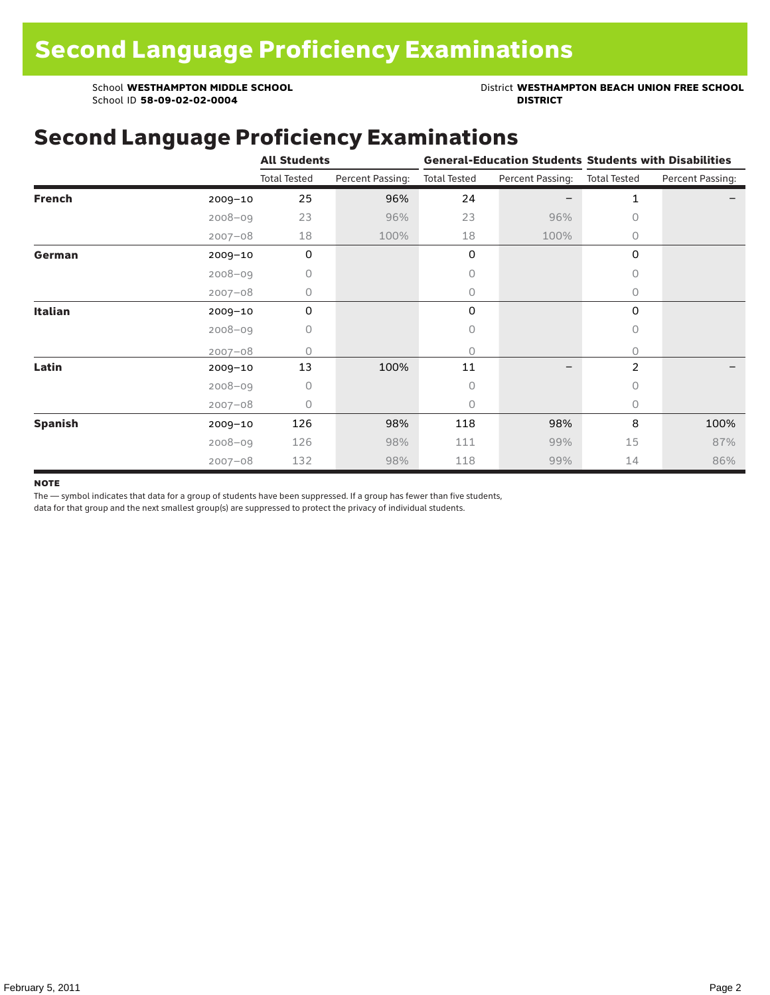School ID 58-09-02-02-0004

School **WESTHAMPTON MIDDLE SCHOOL**<br>School ID 58-09-02-020404<br>**DISTRICT** DISTRICT

### Second Language Proficiency Examinations

|                |             | <b>All Students</b> |                  |                     | <b>General-Education Students Students with Disabilities</b> |                     |                  |
|----------------|-------------|---------------------|------------------|---------------------|--------------------------------------------------------------|---------------------|------------------|
|                |             | <b>Total Tested</b> | Percent Passing: | <b>Total Tested</b> | Percent Passing:                                             | <b>Total Tested</b> | Percent Passing: |
| <b>French</b>  | $2009 - 10$ | 25                  | 96%              | 24                  |                                                              | 1                   |                  |
|                | $2008 - 09$ | 23                  | 96%              | 23                  | 96%                                                          | 0                   |                  |
|                | $2007 - 08$ | 18                  | 100%             | 18                  | 100%                                                         | 0                   |                  |
| German         | 2009-10     | $\mathbf 0$         |                  | 0                   |                                                              | 0                   |                  |
|                | $2008 - 09$ | 0                   |                  | 0                   |                                                              | $\bigcap$           |                  |
|                | $2007 - 08$ | 0                   |                  | 0                   |                                                              | $\circ$             |                  |
| Italian        | 2009-10     | 0                   |                  | 0                   |                                                              | 0                   |                  |
|                | $2008 - 09$ | 0                   |                  | 0                   |                                                              | 0                   |                  |
|                | $2007 - 08$ | U                   |                  | $\Omega$            |                                                              | 0                   |                  |
| Latin          | 2009-10     | 13                  | 100%             | 11                  |                                                              | 2                   |                  |
|                | $2008 - 09$ | $\Omega$            |                  | 0                   |                                                              | $\bigcap$           |                  |
|                | $2007 - 08$ | 0                   |                  | 0                   |                                                              | 0                   |                  |
| <b>Spanish</b> | $2009 - 10$ | 126                 | 98%              | 118                 | 98%                                                          | 8                   | 100%             |
|                | $2008 - 09$ | 126                 | 98%              | 111                 | 99%                                                          | 15                  | 87%              |
|                | $2007 - 08$ | 132                 | 98%              | 118                 | 99%                                                          | 14                  | 86%              |

#### **NOTE**

The — symbol indicates that data for a group of students have been suppressed. If a group has fewer than five students,

data for that group and the next smallest group(s) are suppressed to protect the privacy of individual students.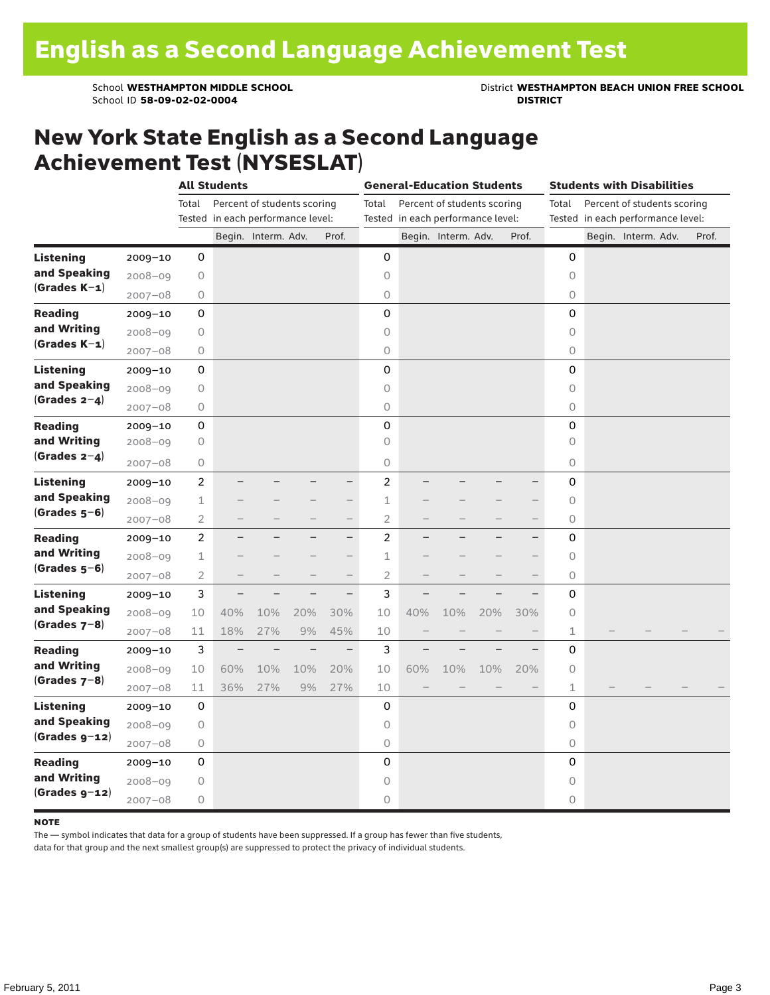School ID 58-09-02-02-0004

School **WESTHAMPTON MIDDLE SCHOOL**<br>School ID 58-09-02-020404<br>**DISTRICT** DISTRICT

### New York State English as a Second Language Achievement Test (NYSESLAT)

|                  |             | <b>All Students</b> |                                   |                             |                          |                          | <b>General-Education Students</b> |     |                                   |     |       | <b>Students with Disabilities</b> |  |                                   |  |       |  |
|------------------|-------------|---------------------|-----------------------------------|-----------------------------|--------------------------|--------------------------|-----------------------------------|-----|-----------------------------------|-----|-------|-----------------------------------|--|-----------------------------------|--|-------|--|
|                  |             | Total               |                                   | Percent of students scoring |                          |                          | Total                             |     | Percent of students scoring       |     |       | Total                             |  | Percent of students scoring       |  |       |  |
|                  |             |                     | Tested in each performance level: |                             |                          |                          |                                   |     | Tested in each performance level: |     |       |                                   |  | Tested in each performance level: |  |       |  |
|                  |             |                     |                                   | Begin. Interm. Adv.         |                          | Prof.                    |                                   |     | Begin. Interm. Adv.               |     | Prof. |                                   |  | Begin. Interm. Adv.               |  | Prof. |  |
| <b>Listening</b> | 2009-10     | 0                   |                                   |                             |                          |                          | 0                                 |     |                                   |     |       | 0                                 |  |                                   |  |       |  |
| and Speaking     | $2008 - 09$ | $\circ$             |                                   |                             |                          |                          | $\circ$                           |     |                                   |     |       | $\circ$                           |  |                                   |  |       |  |
| $(Grades K-1)$   | $2007 - 08$ | $\circ$             |                                   |                             |                          |                          | $\circ$                           |     |                                   |     |       | 0                                 |  |                                   |  |       |  |
| <b>Reading</b>   | $2009 - 10$ | 0                   |                                   |                             |                          |                          | $\mathsf 0$                       |     |                                   |     |       | $\mathsf 0$                       |  |                                   |  |       |  |
| and Writing      | $2008 - 09$ | 0                   |                                   |                             |                          |                          | $\circ$                           |     |                                   |     |       | 0                                 |  |                                   |  |       |  |
| $(Grades K-1)$   | $2007 - 08$ | $\bigcirc$          |                                   |                             |                          |                          | $\mathsf O$                       |     |                                   |     |       | 0                                 |  |                                   |  |       |  |
| <b>Listening</b> | $2009 - 10$ | 0                   |                                   |                             |                          |                          | $\mathbf 0$                       |     |                                   |     |       | $\mathbf 0$                       |  |                                   |  |       |  |
| and Speaking     | $2008 - 09$ | $\mathsf O$         |                                   |                             |                          |                          | $\circ$                           |     |                                   |     |       | $\circ$                           |  |                                   |  |       |  |
| (Grades $2-4$ )  | $2007 - 08$ | $\circ$             |                                   |                             |                          |                          | $\circ$                           |     |                                   |     |       | 0                                 |  |                                   |  |       |  |
| <b>Reading</b>   | $2009 - 10$ | 0                   |                                   |                             |                          |                          | 0                                 |     |                                   |     |       | 0                                 |  |                                   |  |       |  |
| and Writing      | $2008 - 09$ | 0                   |                                   |                             |                          |                          | 0                                 |     |                                   |     |       | 0                                 |  |                                   |  |       |  |
| (Grades $2-4$ )  | $2007 - 08$ | 0                   |                                   |                             |                          |                          | $\bigcirc$                        |     |                                   |     |       | 0                                 |  |                                   |  |       |  |
| <b>Listening</b> | $2009 - 10$ | $\overline{c}$      |                                   |                             |                          | —                        | $\overline{c}$                    |     |                                   |     |       | 0                                 |  |                                   |  |       |  |
| and Speaking     | $2008 - 09$ | $\mathbf 1$         |                                   |                             |                          |                          | 1                                 |     |                                   |     |       | 0                                 |  |                                   |  |       |  |
| $(Grades 5-6)$   | $2007 - 08$ | $\overline{2}$      |                                   |                             |                          | $\overline{\phantom{0}}$ | $\overline{2}$                    |     |                                   |     | $-$   | 0                                 |  |                                   |  |       |  |
| <b>Reading</b>   | $2009 - 10$ | $\overline{2}$      |                                   |                             |                          | -                        | $\overline{c}$                    |     |                                   |     | -     | 0                                 |  |                                   |  |       |  |
| and Writing      | $2008 - 09$ | $\mathbf 1$         |                                   |                             |                          |                          | 1                                 |     |                                   |     |       | 0                                 |  |                                   |  |       |  |
| $(Grades 5-6)$   | $2007 - 08$ | $\overline{2}$      |                                   |                             |                          |                          | $\overline{2}$                    |     |                                   |     |       | 0                                 |  |                                   |  |       |  |
| <b>Listening</b> | $2009 - 10$ | 3                   |                                   |                             |                          | $-$                      | 3                                 |     |                                   |     |       | $\Omega$                          |  |                                   |  |       |  |
| and Speaking     | $2008 - 09$ | 10                  | 40%                               | 10%                         | 20%                      | 30%                      | 10                                | 40% | 10%                               | 20% | 30%   | $\circ$                           |  |                                   |  |       |  |
| $(Grades 7-8)$   | $2007 - 08$ | 11                  | 18%                               | 27%                         | 9%                       | 45%                      | 10                                |     |                                   |     |       | 1                                 |  |                                   |  |       |  |
| <b>Reading</b>   | $2009 - 10$ | 3                   | $\overline{\phantom{0}}$          | $\overline{\phantom{0}}$    | $\overline{\phantom{0}}$ | $\qquad \qquad -$        | 3                                 |     | $\overline{\phantom{0}}$          |     |       | 0                                 |  |                                   |  |       |  |
| and Writing      | $2008 - 09$ | 10                  | 60%                               | 10%                         | 10%                      | 20%                      | 10                                | 60% | 10%                               | 10% | 20%   | 0                                 |  |                                   |  |       |  |
| $(Grades 7-8)$   | $2007 - 08$ | 11                  | 36%                               | 27%                         | 9%                       | 27%                      | 10                                |     |                                   |     |       | 1                                 |  |                                   |  |       |  |
| <b>Listening</b> | 2009-10     | 0                   |                                   |                             |                          |                          | 0                                 |     |                                   |     |       | 0                                 |  |                                   |  |       |  |
| and Speaking     | $2008 - 09$ | 0                   |                                   |                             |                          |                          | 0                                 |     |                                   |     |       | 0                                 |  |                                   |  |       |  |
| $(Grades g-12)$  | $2007 - 08$ | $\circ$             |                                   |                             |                          |                          | 0                                 |     |                                   |     |       | 0                                 |  |                                   |  |       |  |
| <b>Reading</b>   | $2009 - 10$ | 0                   |                                   |                             |                          |                          | 0                                 |     |                                   |     |       | $\mathbf 0$                       |  |                                   |  |       |  |
| and Writing      | $2008 - 09$ | 0                   |                                   |                             |                          |                          | $\circ$                           |     |                                   |     |       | $\circ$                           |  |                                   |  |       |  |
| $(Grades g-12)$  | $2007 - 08$ | $\bigcirc$          |                                   |                             |                          |                          | $\circ$                           |     |                                   |     |       | 0                                 |  |                                   |  |       |  |

#### **NOTE**

The — symbol indicates that data for a group of students have been suppressed. If a group has fewer than five students,

data for that group and the next smallest group(s) are suppressed to protect the privacy of individual students.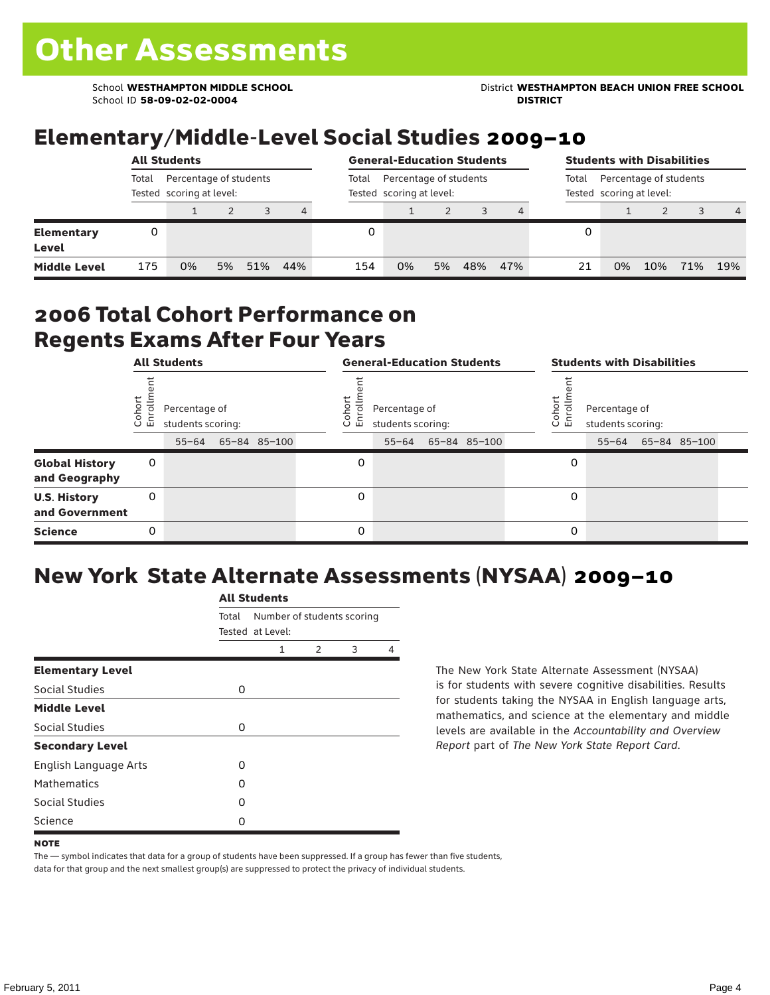School ID **58-09-02-02-0004 DISTRICT**

School **WESTHAMPTON MIDDLE SCHOOL** District **WESTHAMPTON BEACH UNION FREE SCHOOL**

## Elementary/Middle-Level Social Studies 2009–10

|                                   |       | <b>All Students</b>                                |    | <b>General-Education Students</b><br>Percentage of students<br>Total<br>Tested scoring at level: |     |     |    |    |     | <b>Students with Disabilities</b>                           |    |    |     |     |                |  |
|-----------------------------------|-------|----------------------------------------------------|----|--------------------------------------------------------------------------------------------------|-----|-----|----|----|-----|-------------------------------------------------------------|----|----|-----|-----|----------------|--|
|                                   | Total | Percentage of students<br>Tested scoring at level: |    |                                                                                                  |     |     |    |    |     | Percentage of students<br>Total<br>Tested scoring at level: |    |    |     |     |                |  |
|                                   |       |                                                    |    | 3                                                                                                | 4   |     |    |    |     |                                                             |    |    |     |     | $\overline{4}$ |  |
| <b>Elementary</b><br><b>Level</b> |       |                                                    |    |                                                                                                  |     |     |    |    |     |                                                             |    |    |     |     |                |  |
| <b>Middle Level</b>               | 175   | 0%                                                 | 5% | 51%                                                                                              | 44% | 154 | 0% | 5% | 48% | 47%                                                         | 21 | 0% | 10% | 71% | 19%            |  |

#### 2006 Total Cohort Performance on Regents Exams After Four Years

|                                        | <b>All Students</b><br>Cohort<br>Enrollm<br>Percentage of<br>students scoring:<br>65-84 85-100<br>$55 - 64$<br>0<br>0 |  |  |  |  |                      | <b>General-Education Students</b>               |              | <b>Students with Disabilities</b> |                                    |  |                    |  |  |
|----------------------------------------|-----------------------------------------------------------------------------------------------------------------------|--|--|--|--|----------------------|-------------------------------------------------|--------------|-----------------------------------|------------------------------------|--|--------------------|--|--|
|                                        |                                                                                                                       |  |  |  |  | Coho<br>$\circ$<br>ᇛ | Percentage of<br>students scoring:<br>$55 - 64$ | 65-84 85-100 | Cohor<br>ò,<br>문                  | Percentage of<br>students scoring: |  | 55-64 65-84 85-100 |  |  |
| <b>Global History</b><br>and Geography |                                                                                                                       |  |  |  |  | 0                    |                                                 |              | 0                                 |                                    |  |                    |  |  |
| <b>U.S. History</b><br>and Government  |                                                                                                                       |  |  |  |  | $\Omega$             |                                                 |              | 0                                 |                                    |  |                    |  |  |
| <b>Science</b>                         | 0                                                                                                                     |  |  |  |  | $\Omega$             |                                                 |              | 0                                 |                                    |  |                    |  |  |

## New York State Alternate Assessments (NYSAA) 2009–10

|                         | <b>All Students</b> |                                                |               |   |   |  |  |  |  |  |
|-------------------------|---------------------|------------------------------------------------|---------------|---|---|--|--|--|--|--|
|                         | Total               | Number of students scoring<br>Tested at Level: |               |   |   |  |  |  |  |  |
|                         |                     | 1                                              | $\mathcal{P}$ | 3 | 4 |  |  |  |  |  |
| <b>Elementary Level</b> |                     |                                                |               |   |   |  |  |  |  |  |
| Social Studies          | 0                   |                                                |               |   |   |  |  |  |  |  |
| <b>Middle Level</b>     |                     |                                                |               |   |   |  |  |  |  |  |
| Social Studies          | 0                   |                                                |               |   |   |  |  |  |  |  |
| <b>Secondary Level</b>  |                     |                                                |               |   |   |  |  |  |  |  |
| English Language Arts   | O                   |                                                |               |   |   |  |  |  |  |  |
| <b>Mathematics</b>      | O                   |                                                |               |   |   |  |  |  |  |  |
| Social Studies          | O                   |                                                |               |   |   |  |  |  |  |  |
| Science                 | 0                   |                                                |               |   |   |  |  |  |  |  |

The New York State Alternate Assessment (NYSAA) is for students with severe cognitive disabilities. Results for students taking the NYSAA in English language arts, mathematics, and science at the elementary and middle levels are available in the *Accountability and Overview Report* part of *The New York State Report Card*.

The — symbol indicates that data for a group of students have been suppressed. If a group has fewer than five students, data for that group and the next smallest group(s) are suppressed to protect the privacy of individual students.

**NOTE**